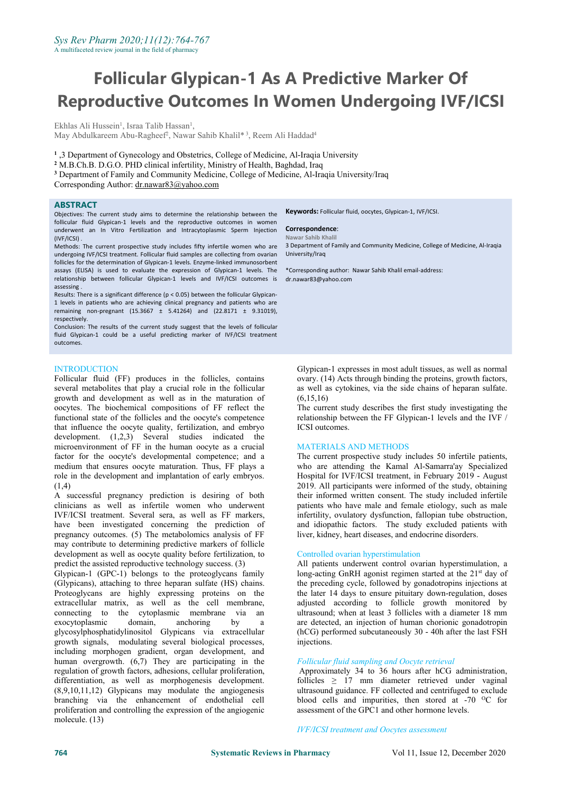# **Follicular Glypican-1 As A Predictive Marker Of Reproductive Outcomes In Women Undergoing IVF/ICSI**

Ekhlas Ali Hussein<sup>1</sup>, Israa Talib Hassan<sup>1</sup>, , May Abdulkareem Abu-Ragheef<sup>2</sup>, Nawar Sahib Khalil\*<sup>3</sup>, Reem Ali Haddad<sup>4</sup> 4

**1** ,3 Department of Gynecology and Obstetrics, College of Medicine, Al-Iraqia University

**<sup>2</sup>** M.B.Ch.B. D.G.O. PHD clinical infertility, Ministry of Health, Baghdad, Iraq

**<sup>3</sup>** Department of Family and Community Medicine, College of Medicine, Al-Iraqia University/Iraq

Corresponding Author: [dr.nawar83@yahoo.com](mailto:dr.nawar83@yahoo.com)

#### **ABSTRACT**

Objectives: The current study aims to determine the relationship between the follicular fluid Glypican-1 levels and the reproductive outcomes in women underwent an In Vitro Fertilization and Intracytoplasmic Sperm Injection (IVF/ICSI) .

Methods: The current prospective study includes fifty infertile women who are undergoing IVF/ICSI treatment. Follicular fluid samples are collecting from ovarian follicles for the determination of Glypican-1 levels. Enzyme-linked immunosorbent assays (ELISA) is used to evaluate the expression of Glypican-1 levels. The relationship between follicular Glypican-1 levels and IVF/ICSI outcomes is assessing .

Results: There is a significant difference (p < 0.05) between the follicular Glypican- 1 levels in patients who are achieving clinical pregnancy and patients who are remaining non-pregnant (15.3667  $\pm$  5.41264) and (22.8171  $\pm$  9.31019), respectively.

Conclusion: The results of the current study suggest that the levels of follicular fluid Glypican-1 could be a useful predicting marker of IVF/ICSI treatment outcomes.

#### **INTRODUCTION**

Follicular fluid (FF) produces in the follicles, contains several metabolites that play a crucial role in the follicular growth and development as well as in the maturation of oocytes. The biochemical compositions of FF reflect the functional state of the follicles and the oocyte's competence that influence the oocyte quality, fertilization, and embryo development. (1,2,3) Several studies indicated the microenvironment of FF in the human oocyte as a crucial factor for the oocyte's developmental competence; and amedium that ensures oocyte maturation. Thus, FF plays <sup>a</sup> role in the development and implantation of early embryos. (1,4)

A successful pregnancy prediction is desiring of both clinicians as well as infertile women who underwent IVF/ICSI treatment. Several sera, as well as FF markers, have been investigated concerning the prediction of pregnancy outcomes. (5) The metabolomics analysis of FF may contribute to determining predictive markers of follicle development as well as oocyte quality before fertilization, to predict the assisted reproductive technology success. (3)

Glypican-1 (GPC-1) belongs to the proteoglycans family (Glypicans), attaching to three heparan sulfate (HS) chains. Proteoglycans are highly expressing proteins on the extracellular matrix, as well as the cell membrane, connecting to the cytoplasmic membrane via an the cytoplasmic membrane via an domain, anchoring by a exocytoplasmic domain, anchoring by a glycosylphosphatidylinositol Glypicans via extracellular growth signals, modulating several biological processes, including morphogen gradient, organ development, and human overgrowth. (6,7) They are participating in the regulation of growth factors, adhesions, cellular proliferation, differentiation, as well as morphogenesis development. (8,9,10,11,12) Glypicans may modulate the angiogenesis branching via the enhancement of endothelial cell proliferation and controlling the expression of the angiogenic molecule. (13)

**Keywords:** Follicular fluid, oocytes, Glypican-1, IVF/ICSI.

#### **Correspondence**:

#### **Nawar Sahib Khalil**

3 Department of Family and Community Medicine, College of Medicine, Al-Iraqia University/Iraq

\*Corresponding author: Nawar Sahib Khalil email-address: dr.nawar83@yahoo.com

Glypican-1 expresses in most adult tissues, as well as normal ovary. (14) Acts through binding the proteins, growth factors, as well as cytokines, via the side chains of heparan sulfate. (6,15,16)

The current study describes the first study investigating the relationship between the FF Glypican-1 levels and the IVF / ICSI outcomes.

#### MATERIALS AND METHODS

The current prospective study includes 50 infertile patients, who are attending the Kamal Al-Samarra'ay Specialized Hospital for IVF/ICSI treatment, in February 2019 - August 2019. All participants were informed of the study, obtaining their informed written consent. The study included infertile patients who have male and female etiology, such as male infertility, ovulatory dysfunction, fallopian tube obstruction, and idiopathic factors. The study excluded patients with liver, kidney, heart diseases, and endocrine disorders.

#### Controlled ovarian hyperstimulation

All patients underwent control ovarian hyperstimulation, a long-acting GnRH agonist regimen started at the 21<sup>st</sup> day of the preceding cycle, followed by gonadotropins injections at the later 14 days to ensure pituitary down-regulation, doses adjusted according to follicle growth monitored by ultrasound; when at least 3 follicles with a diameter 18 mm are detected, an injection of human chorionic gonadotropin (hCG) performed subcutaneously 30 - 40h after the last FSH injections.

#### *Follicular fluid sampling and Oocyte retrieval*

Approximately 34 to 36 hours after hCG administration, follicles  $\geq$  17 mm diameter retrieved under vaginal ultrasound guidance. FF collected and centrifuged to exclude blood cells and impurities, then stored at  $-70$  <sup>O</sup>C for assessment of the GPC1 and other hormone levels.

*IVF/ICSI treatment and Oocytes assessment*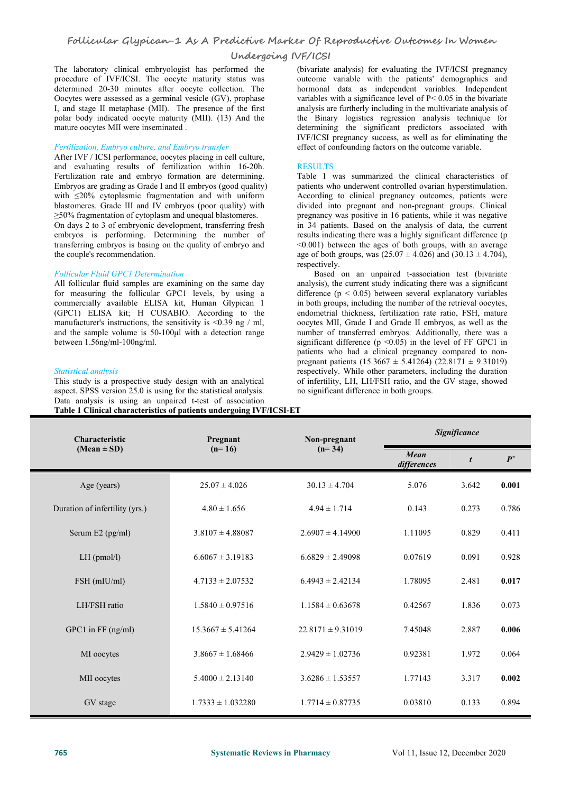The laboratory clinical embryologist has performed the procedure of IVF/ICSI. The oocyte maturity status was determined 20-30 minutes after oocyte collection. The Oocytes were assessed as a germinal vesicle (GV), prophase I, and stage II metaphase (MII). The presence of the first polar body indicated oocyte maturity (MII). (13) And the mature oocytes MII were inseminated .

#### *Fertilization, Embryo culture, and Embryo transfer*

After IVF / ICSI performance, oocytes placing in cell culture, and evaluating results of fertilization within 16-20h. Fertilization rate and embryo formation are determining. Embryos are grading as Grade I and II embryos (good quality) with <20% cytoplasmic fragmentation and with uniform blastomeres. Grade III and IV embryos (poor quality) with ≥50% fragmentation of cytoplasm and unequal blastomeres. On days2 to 3 of embryonic development, transferring fresh embryos is performing. Determining the number of transferring embryos is basing on the quality of embryo and

# the couple's recommendation.

#### *Follicular Fluid GPC1 Determination*

All follicular fluid samples are examining on the same day for measuring the follicular GPC1 levels, by using a commercially available ELISA kit, Human Glypican 1 (GPC1) ELISA kit; H CUSABIO. According to the manufacturer's instructions, the sensitivity is <0.39 ng / ml, and the sample volume is 50-100μl with a detection range between 1.56ng/ml-100ng/ml.

#### *Statistical analysis*

This study is a prospective study design with an analytical aspect. SPSS version 25.0 is using for the statistical analysis. Data analysis is using an unpaired t-test of association **Table 1 Clinical characteristics ofpatients undergoing IVF/ICSI-ET**

(bivariate analysis) for evaluating the IVF/ICSI pregnancy outcome variable with the patients' demographics and hormonal data as independent variables. Independent variables with a significance level of P< 0.05 in the bivariate analysis are furtherly including in the multivariate analysis of the Binary logistics regression analysis technique for determining the significant predictors associated with IVF/ICSI pregnancy success, as well as for eliminating the effect of confounding factors on the outcome variable.

#### RESULTS

Table 1 was summarized the clinical characteristics of patients who underwent controlled ovarian hyperstimulation. According to clinical pregnancy outcomes, patients were divided into pregnant and non-pregnant groups. Clinical pregnancy was positive in 16 patients, while it was negative in 34 patients. Based on the analysis of data, the current results indicating there was a highly significant difference (p <0.001) between the ages of both groups, with an average age of both groups, was  $(25.07 \pm 4.026)$  and  $(30.13 \pm 4.704)$ , respectively.

Based on an unpaired t-association test (bivariate analysis), the current study indicating there was a significant difference ( $p < 0.05$ ) between several explanatory variables in both groups, including the number of the retrieval oocytes, endometrial thickness, fertilization rate ratio, FSH, mature oocytes MII, Grade I and Grade II embryos, as well as the number of transferred embryos. Additionally, there was a significant difference ( $p \le 0.05$ ) in the level of FF GPC1 in patients who had a clinical pregnancy compared to non pregnant patients  $(15.3667 \pm 5.41264)$   $(22.8171 \pm 9.31019)$ respectively. While other parameters, including the duration of infertility, LH, LH/FSH ratio, and the GV stage, showed no significant difference in both groups.

| Characteristic                 | Pregnant              | Non-pregnant          | Significance        |       |       |  |
|--------------------------------|-----------------------|-----------------------|---------------------|-------|-------|--|
| $(Mean \pm SD)$                | $(n=16)$              | $(n=34)$              | Mean<br>differences |       | $P^*$ |  |
| Age (years)                    | $25.07 \pm 4.026$     | $30.13 \pm 4.704$     | 5.076               | 3.642 | 0.001 |  |
| Duration of infertility (yrs.) | $4.80 \pm 1.656$      | $4.94 \pm 1.714$      | 0.143               | 0.273 | 0.786 |  |
| Serum E2 (pg/ml)               | $3.8107 \pm 4.88087$  | $2.6907 \pm 4.14900$  | 1.11095             | 0.829 | 0.411 |  |
| $LH$ (pmol/l)                  | $6.6067 \pm 3.19183$  | $6.6829 \pm 2.49098$  | 0.07619             | 0.091 | 0.928 |  |
| FSH (mIU/ml)                   | $4.7133 \pm 2.07532$  | $6.4943 \pm 2.42134$  | 1.78095             | 2.481 | 0.017 |  |
| LH/FSH ratio                   | $1.5840 \pm 0.97516$  | $1.1584 \pm 0.63678$  | 0.42567             | 1.836 | 0.073 |  |
| GPC1 in FF (ng/ml)             | $15.3667 \pm 5.41264$ | $22.8171 \pm 9.31019$ | 7.45048             | 2.887 | 0.006 |  |
| MI oocytes                     | $3.8667 \pm 1.68466$  | $2.9429 \pm 1.02736$  | 0.92381             | 1.972 | 0.064 |  |
| MII oocytes                    | $5.4000 \pm 2.13140$  | $3.6286 \pm 1.53557$  | 1.77143             | 3.317 | 0.002 |  |
| GV stage                       | $1.7333 \pm 1.032280$ | $1.7714 \pm 0.87735$  | 0.03810             | 0.133 | 0.894 |  |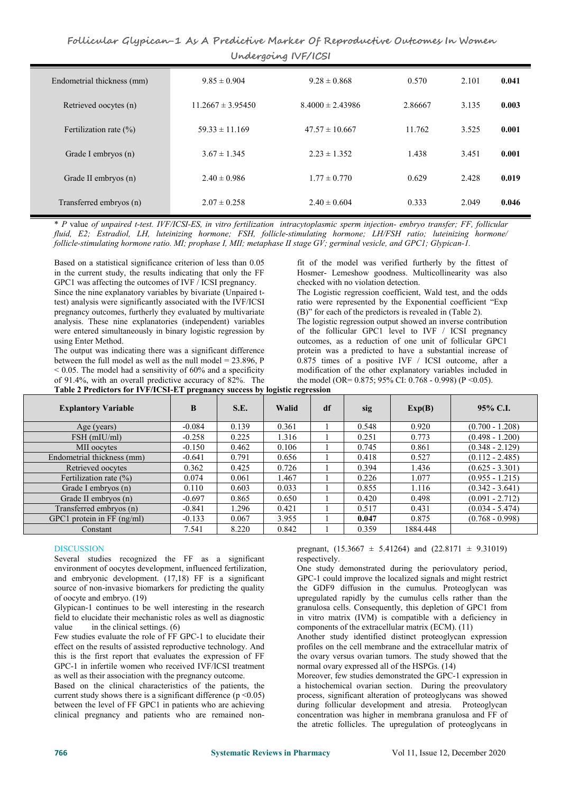## **Follicular Glypican-1 As A PredictiveMarker Of Reproductive Outcomes In Women Undergoing IVF/ICSI**

| Endometrial thickness (mm) | $9.85 \pm 0.904$      | $9.28 \pm 0.868$     | 0.570   | 2.101 | 0.041 |
|----------------------------|-----------------------|----------------------|---------|-------|-------|
| Retrieved oocytes (n)      | $11.2667 \pm 3.95450$ | $8.4000 \pm 2.43986$ | 2.86667 | 3.135 | 0.003 |
| Fertilization rate $(\% )$ | $59.33 \pm 11.169$    | $47.57 \pm 10.667$   | 11.762  | 3.525 | 0.001 |
| Grade I embryos (n)        | $3.67 \pm 1.345$      | $2.23 \pm 1.352$     | 1.438   | 3.451 | 0.001 |
| Grade II embryos (n)       | $2.40 \pm 0.986$      | $1.77 \pm 0.770$     | 0.629   | 2.428 | 0.019 |
| Transferred embryos (n)    | $2.07 \pm 0.258$      | $2.40 \pm 0.604$     | 0.333   | 2.049 | 0.046 |

\* P value of unpaired t-test. IVF/ICSI-ES, in vitro fertilization intracytoplasmic sperm injection- embryo transfer; FF, follicular *fluid, E2; Estradiol, LH, luteinizing hormone; FSH, follicle‑stimulating hormone; LH/FSH ratio; luteinizing hormone/* follicle-stimulating hormone ratio. MI; prophase I, MII; metaphase II stage GV; germinal vesicle, and GPC1; Glypican-1.

Based on a statistical significance criterion of less than 0.05 in the current study, the results indicating that only the FF GPC1 was affecting the outcomes of IVF / ICSI pregnancy.

Since the nine explanatory variables by bivariate (Unpaired ttest) analysis were significantly associated with the IVF/ICSI pregnancy outcomes, furtherly they evaluated by multivariate analysis. These nine explanatories (independent) variables were entered simultaneously in binary logistic regression by using Enter Method.

The output was indicating there was a significant difference between the full model as well as the null model = 23.896, P  $\leq 0.05$ . The model had a sensitivity of 60% and a specificity of 91.4%, with an overall predictive accuracy of 82%. The

fit of the model was verified furtherly by the fittest of Hosmer- Lemeshow goodness. Multicollinearity was also checked with no violation detection.

The Logistic regression coefficient, Wald test, and the odds ratio were represented by the Exponential coefficient "Exp (B)" for each of the predictors is revealed in (Table 2). The logistic regression output showed an inverse contribution

of the follicular GPC1 level to IVF / ICSI pregnancy outcomes, as a reduction of one unit of follicular GPC1 protein was a predicted to have a substantial increase of  $0.875$  times of a positive IVF / ICSI outcome, after a modification of the other explanatory variables included in the model (OR= 0.875; 95% CI: 0.768 - 0.998) (P <0.05).

**Table 2 Predictors for IVF/ICSI-ET pregnancy success by logistic regression**

|                              | $\bullet$ |       | -     |    |       |          |                   |
|------------------------------|-----------|-------|-------|----|-------|----------|-------------------|
| <b>Explantory Variable</b>   | B         | S.E.  | Walid | df | sig   | Exp(B)   | $95\%$ C.I.       |
| Age (years)                  | $-0.084$  | 0.139 | 0.361 |    | 0.548 | 0.920    | $(0.700 - 1.208)$ |
| $FSH$ (mIU/ml)               | $-0.258$  | 0.225 | 1.316 |    | 0.251 | 0.773    | $(0.498 - 1.200)$ |
| MII oocytes                  | $-0.150$  | 0.462 | 0.106 |    | 0.745 | 0.861    | $(0.348 - 2.129)$ |
| Endometrial thickness (mm)   | $-0.641$  | 0.791 | 0.656 |    | 0.418 | 0.527    | $(0.112 - 2.485)$ |
| Retrieved oocytes            | 0.362     | 0.425 | 0.726 |    | 0.394 | 1.436    | $(0.625 - 3.301)$ |
| Fertilization rate $(\% )$   | 0.074     | 0.061 | 1.467 |    | 0.226 | 1.077    | $(0.955 - 1.215)$ |
| Grade I embryos (n)          | 0.110     | 0.603 | 0.033 |    | 0.855 | 1.116    | $(0.342 - 3.641)$ |
| Grade II embryos (n)         | $-0.697$  | 0.865 | 0.650 |    | 0.420 | 0.498    | $(0.091 - 2.712)$ |
| Transferred embryos (n)      | $-0.841$  | 1.296 | 0.421 |    | 0.517 | 0.431    | $(0.034 - 5.474)$ |
| GPC1 protein in $FF$ (ng/ml) | $-0.133$  | 0.067 | 3.955 |    | 0.047 | 0.875    | $(0.768 - 0.998)$ |
| Constant                     | 7.541     | 8.220 | 0.842 |    | 0.359 | 1884.448 |                   |

### **DISCUSSION**

Several studies recognized the FF as a significant environment of oocytes development, influenced fertilization, and embryonic development. (17,18) FF is a significant source of non-invasive biomarkers for predicting the quality of oocyte and embryo. (19)

Glypican-1 continues to be well interesting in the research field to elucidate their mechanistic roles as well as diagnostic value in the clinical settings. (6)

Few studies evaluate the role of FF GPC-1 to elucidate their effect on the results of assisted reproductive technology. And this is the first report that evaluates the expression of FF GPC-1 in infertile women who received IVF/ICSI treatment as well as their association with the pregnancy outcome.

Based on the clinical characteristics of the patients, the current study shows there is a significant difference ( $p \le 0.05$ ) between the level of FF GPC1 in patients who are achieving clinical pregnancy and patients who are remained nonpregnant,  $(15.3667 \pm 5.41264)$  and  $(22.8171 \pm 9.31019)$ respectively.

One study demonstrated during the periovulatory period, GPC-1 could improve the localized signals and might restrict the GDF9 diffusion in the cumulus. Proteoglycan was upregulated rapidly by the cumulus cells rather than the granulosa cells. Consequently, this depletion of GPC1 from in vitro matrix (IVM) is compatible with a deficiency in components of the extracellular matrix (ECM). (11)

Another study identified distinct proteoglycan expression profiles on the cell membrane and the extracellular matrix of the ovary versus ovarian tumors. The study showed that the normal ovary expressed all of the HSPGs. (14)

Moreover, few studies demonstrated the GPC-1 expression in a histochemical ovarian section. During the preovulatory process, significant alteration of proteoglycans was showed during follicular development and atresia. Proteoglycan concentration was higher in membrana granulosa and FF of the atretic follicles. The upregulation of proteoglycans in